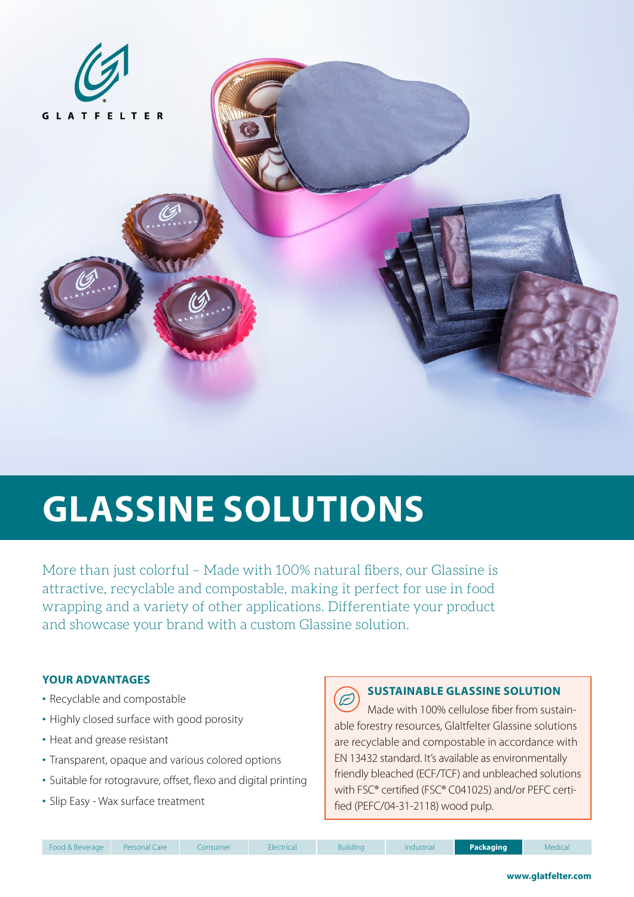

# **GLASSINE SOLUTIONS**

More than just colorful – Made with 100% natural fibers, our Glassine is attractive, recyclable and compostable, making it perfect for use in food wrapping and a variety of other applications. Differentiate your product and showcase your brand with a custom Glassine solution.

## **YOUR ADVANTAGES**

- Recyclable and compostable
- Highly closed surface with good porosity
- Heat and grease resistant
- Transparent, opaque and various colored options
- Suitable for rotogravure, offset, flexo and digital printing
- Slip Easy Wax surface treatment

### **SUSTAINABLE GLASSINE SOLUTION**  $\subset$

Made with 100% cellulose fiber from sustainable forestry resources, Glaltfelter Glassine solutions are recyclable and compostable in accordance with EN 13432 standard. It's available as environmentally friendly bleached (ECF/TCF) and unbleached solutions with FSC® certified (FSC® C041025) and/or PEFC certified (PEFC/04-31-2118) wood pulp.